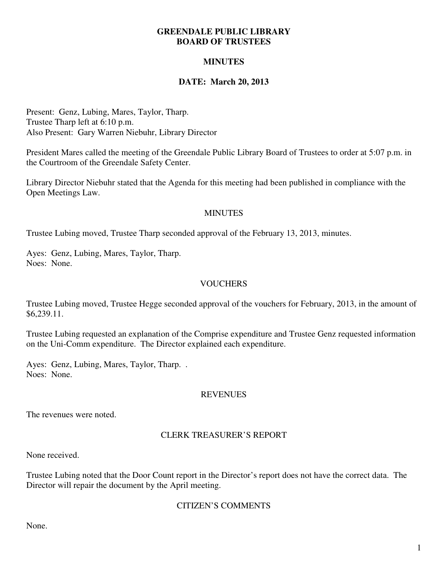### **GREENDALE PUBLIC LIBRARY BOARD OF TRUSTEES**

# **MINUTES**

# **DATE: March 20, 2013**

Present: Genz, Lubing, Mares, Taylor, Tharp. Trustee Tharp left at 6:10 p.m. Also Present: Gary Warren Niebuhr, Library Director

President Mares called the meeting of the Greendale Public Library Board of Trustees to order at 5:07 p.m. in the Courtroom of the Greendale Safety Center.

Library Director Niebuhr stated that the Agenda for this meeting had been published in compliance with the Open Meetings Law.

### **MINUTES**

Trustee Lubing moved, Trustee Tharp seconded approval of the February 13, 2013, minutes.

Ayes: Genz, Lubing, Mares, Taylor, Tharp. Noes: None.

### **VOUCHERS**

Trustee Lubing moved, Trustee Hegge seconded approval of the vouchers for February, 2013, in the amount of \$6,239.11.

Trustee Lubing requested an explanation of the Comprise expenditure and Trustee Genz requested information on the Uni-Comm expenditure. The Director explained each expenditure.

Ayes: Genz, Lubing, Mares, Taylor, Tharp. . Noes: None.

#### **REVENUES**

The revenues were noted.

# CLERK TREASURER'S REPORT

None received.

Trustee Lubing noted that the Door Count report in the Director's report does not have the correct data. The Director will repair the document by the April meeting.

#### CITIZEN'S COMMENTS

None.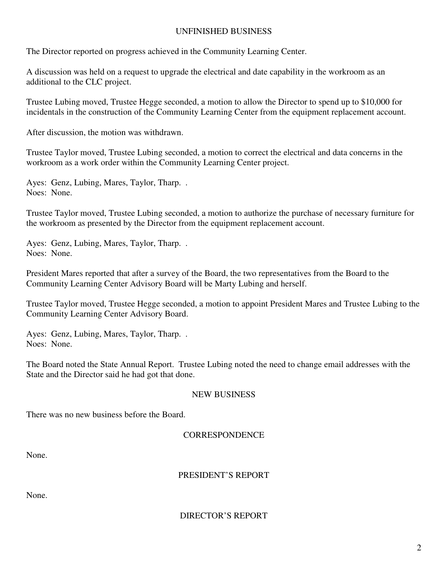# UNFINISHED BUSINESS

The Director reported on progress achieved in the Community Learning Center.

A discussion was held on a request to upgrade the electrical and date capability in the workroom as an additional to the CLC project.

Trustee Lubing moved, Trustee Hegge seconded, a motion to allow the Director to spend up to \$10,000 for incidentals in the construction of the Community Learning Center from the equipment replacement account.

After discussion, the motion was withdrawn.

Trustee Taylor moved, Trustee Lubing seconded, a motion to correct the electrical and data concerns in the workroom as a work order within the Community Learning Center project.

Ayes: Genz, Lubing, Mares, Taylor, Tharp. . Noes: None.

Trustee Taylor moved, Trustee Lubing seconded, a motion to authorize the purchase of necessary furniture for the workroom as presented by the Director from the equipment replacement account.

Ayes: Genz, Lubing, Mares, Taylor, Tharp. . Noes: None.

President Mares reported that after a survey of the Board, the two representatives from the Board to the Community Learning Center Advisory Board will be Marty Lubing and herself.

Trustee Taylor moved, Trustee Hegge seconded, a motion to appoint President Mares and Trustee Lubing to the Community Learning Center Advisory Board.

Ayes: Genz, Lubing, Mares, Taylor, Tharp. . Noes: None.

The Board noted the State Annual Report. Trustee Lubing noted the need to change email addresses with the State and the Director said he had got that done.

# NEW BUSINESS

There was no new business before the Board.

# **CORRESPONDENCE**

None.

# PRESIDENT'S REPORT

None.

# DIRECTOR'S REPORT